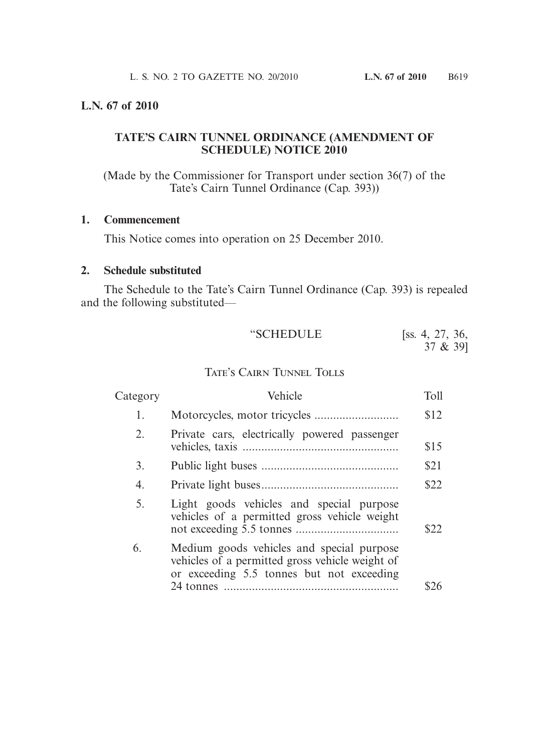#### **L.N. 67 of 2010**

## **TATE'S CAIRN TUNNEL ORDINANCE (AMENDMENT OF SCHEDULE) NOTICE 2010**

(Made by the Commissioner for Transport under section 36(7) of the Tate's Cairn Tunnel Ordinance (Cap. 393))

### **1. Commencement**

This Notice comes into operation on 25 December 2010.

#### **2. Schedule substituted**

 The Schedule to the Tate's Cairn Tunnel Ordinance (Cap. 393) is repealed and the following substituted—

| "SCHEDULE                 | [ss. 4, 27, 36,<br>37 & 39] |
|---------------------------|-----------------------------|
| TATE'S CAIRN TUNNEL TOLLS |                             |

| Category | Vehicle                                                                                                                                   | Toll |
|----------|-------------------------------------------------------------------------------------------------------------------------------------------|------|
| 1.       |                                                                                                                                           | \$12 |
| 2.       | Private cars, electrically powered passenger                                                                                              | \$15 |
| 3.       |                                                                                                                                           | \$21 |
| 4.       |                                                                                                                                           | \$22 |
| 5.       | Light goods vehicles and special purpose<br>vehicles of a permitted gross vehicle weight                                                  | \$22 |
| 6.       | Medium goods vehicles and special purpose<br>vehicles of a permitted gross vehicle weight of<br>or exceeding 5.5 tonnes but not exceeding |      |
|          |                                                                                                                                           |      |